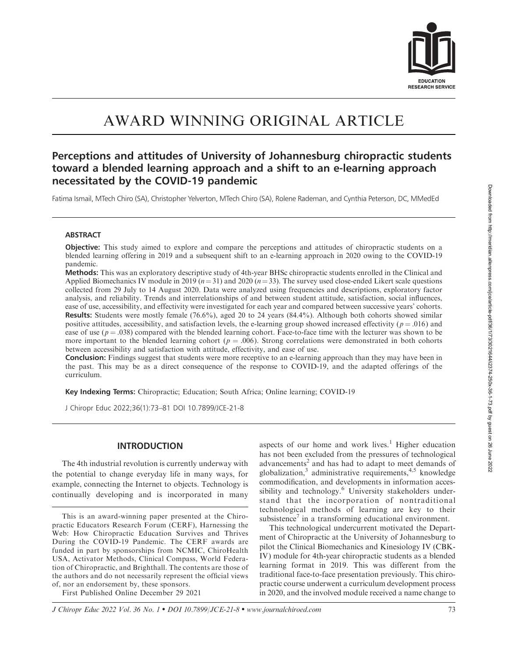

# AWARD WINNING ORIGINAL ARTICLE

## Perceptions and attitudes of University of Johannesburg chiropractic students toward a blended learning approach and a shift to an e-learning approach necessitated by the COVID-19 pandemic

Fatima Ismail, MTech Chiro (SA), Christopher Yelverton, MTech Chiro (SA), Rolene Rademan, and Cynthia Peterson, DC, MMedEd

## **ABSTRACT**

Objective: This study aimed to explore and compare the perceptions and attitudes of chiropractic students on a blended learning offering in 2019 and a subsequent shift to an e-learning approach in 2020 owing to the COVID-19 pandemic.

Methods: This was an exploratory descriptive study of 4th-year BHSc chiropractic students enrolled in the Clinical and Applied Biomechanics IV module in 2019 ( $n=31$ ) and 2020 ( $n=33$ ). The survey used close-ended Likert scale questions collected from 29 July to 14 August 2020. Data were analyzed using frequencies and descriptions, exploratory factor analysis, and reliability. Trends and interrelationships of and between student attitude, satisfaction, social influences, ease of use, accessibility, and effectivity were investigated for each year and compared between successive years' cohorts. Results: Students were mostly female (76.6%), aged 20 to 24 years (84.4%). Although both cohorts showed similar positive attitudes, accessibility, and satisfaction levels, the e-learning group showed increased effectivity ( $p = .016$ ) and ease of use  $(p = .038)$  compared with the blended learning cohort. Face-to-face time with the lecturer was shown to be more important to the blended learning cohort ( $p = .006$ ). Strong correlations were demonstrated in both cohorts between accessibility and satisfaction with attitude, effectivity, and ease of use.

**Conclusion:** Findings suggest that students were more receptive to an e-learning approach than they may have been in the past. This may be as a direct consequence of the response to COVID-19, and the adapted offerings of the curriculum.

Key Indexing Terms: Chiropractic; Education; South Africa; Online learning; COVID-19

J Chiropr Educ 2022;36(1):73–81 DOI 10.7899/JCE-21-8

## INTRODUCTION

The 4th industrial revolution is currently underway with the potential to change everyday life in many ways, for example, connecting the Internet to objects. Technology is continually developing and is incorporated in many

This is an award-winning paper presented at the Chiropractic Educators Research Forum (CERF), Harnessing the Web: How Chiropractic Education Survives and Thrives During the COVID-19 Pandemic. The CERF awards are funded in part by sponsorships from NCMIC, ChiroHealth USA, Activator Methods, Clinical Compass, World Federation of Chiropractic, and Brighthall. The contents are those of the authors and do not necessarily represent the official views of, nor an endorsement by, these sponsors.

First Published Online December 29 2021

aspects of our home and work lives.<sup>1</sup> Higher education has not been excluded from the pressures of technological advancements<sup>2</sup> and has had to adapt to meet demands of globalization,<sup>3</sup> administrative requirements,<sup>4,5</sup> knowledge commodification, and developments in information accessibility and technology.<sup>6</sup> University stakeholders understand that the incorporation of nontraditional technological methods of learning are key to their subsistence<sup>7</sup> in a transforming educational environment.

This technological undercurrent motivated the Department of Chiropractic at the University of Johannesburg to pilot the Clinical Biomechanics and Kinesiology IV (CBK-IV) module for 4th-year chiropractic students as a blended learning format in 2019. This was different from the traditional face-to-face presentation previously. This chiropractic course underwent a curriculum development process in 2020, and the involved module received a name change to

J Chiropr Educ 2022 Vol. 36 No. 1 • DOI 10.7899/JCE-21-8 • www.journalchiroed.com 73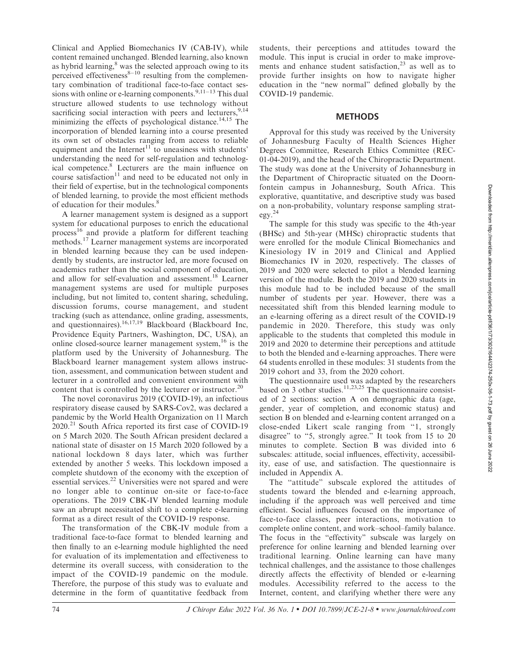Clinical and Applied Biomechanics IV (CAB-IV), while content remained unchanged. Blended learning, also known as hybrid learning,<sup>8</sup> was the selected approach owing to its perceived effectiveness $8-10$  resulting from the complementary combination of traditional face-to-face contact sessions with online or e-learning components. $9,11-13$  This dual structure allowed students to use technology without sacrificing social interaction with peers and lecturers,  $9,14$ minimizing the effects of psychological distance.<sup>14,15</sup> The incorporation of blended learning into a course presented its own set of obstacles ranging from access to reliable equipment and the Internet<sup>11</sup> to uneasiness with students' understanding the need for self-regulation and technological competence.8 Lecturers are the main influence on course satisfaction $11$  and need to be educated not only in their field of expertise, but in the technological components of blended learning, to provide the most efficient methods of education for their modules.<sup>8</sup>

A learner management system is designed as a support system for educational purposes to enrich the educational process<sup>16</sup> and provide a platform for different teaching methods.<sup>17</sup> Learner management systems are incorporated in blended learning because they can be used independently by students, are instructor led, are more focused on academics rather than the social component of education, and allow for self-evaluation and assessment.<sup>18</sup> Learner management systems are used for multiple purposes including, but not limited to, content sharing, scheduling, discussion forums, course management, and student tracking (such as attendance, online grading, assessments, and questionnaires).<sup>16,17,19</sup> Blackboard (Blackboard Inc, Providence Equity Partners, Washington, DC, USA), an online closed-source learner management system,  $16$  is the platform used by the University of Johannesburg. The Blackboard learner management system allows instruction, assessment, and communication between student and lecturer in a controlled and convenient environment with content that is controlled by the lecturer or instructor.<sup>20</sup>

The novel coronavirus 2019 (COVID-19), an infectious respiratory disease caused by SARS-Cov2, was declared a pandemic by the World Health Organization on 11 March 2020.<sup>21</sup> South Africa reported its first case of COVID-19 on 5 March 2020. The South African president declared a national state of disaster on 15 March 2020 followed by a national lockdown 8 days later, which was further extended by another 5 weeks. This lockdown imposed a complete shutdown of the economy with the exception of essential services.<sup>22</sup> Universities were not spared and were no longer able to continue on-site or face-to-face operations. The 2019 CBK-IV blended learning module saw an abrupt necessitated shift to a complete e-learning format as a direct result of the COVID-19 response.

The transformation of the CBK-IV module from a traditional face-to-face format to blended learning and then finally to an e-learning module highlighted the need for evaluation of its implementation and effectiveness to determine its overall success, with consideration to the impact of the COVID-19 pandemic on the module. Therefore, the purpose of this study was to evaluate and determine in the form of quantitative feedback from

students, their perceptions and attitudes toward the module. This input is crucial in order to make improvements and enhance student satisfaction, $2<sup>3</sup>$  as well as to provide further insights on how to navigate higher education in the ''new normal'' defined globally by the COVID-19 pandemic.

## **METHODS**

Approval for this study was received by the University of Johannesburg Faculty of Health Sciences Higher Degrees Committee, Research Ethics Committee (REC-01-04-2019), and the head of the Chiropractic Department. The study was done at the University of Johannesburg in the Department of Chiropractic situated on the Doornfontein campus in Johannesburg, South Africa. This explorative, quantitative, and descriptive study was based on a non-probability, voluntary response sampling strategy.<sup>24</sup>

The sample for this study was specific to the 4th-year (BHSc) and 5th-year (MHSc) chiropractic students that were enrolled for the module Clinical Biomechanics and Kinesiology IV in 2019 and Clinical and Applied Biomechanics IV in 2020, respectively. The classes of 2019 and 2020 were selected to pilot a blended learning version of the module. Both the 2019 and 2020 students in this module had to be included because of the small number of students per year. However, there was a necessitated shift from this blended learning module to an e-learning offering as a direct result of the COVID-19 pandemic in 2020. Therefore, this study was only applicable to the students that completed this module in 2019 and 2020 to determine their perceptions and attitude to both the blended and e-learning approaches. There were 64 students enrolled in these modules: 31 students from the 2019 cohort and 33, from the 2020 cohort.

The questionnaire used was adapted by the researchers based on 3 other studies. $\frac{11,23,25}{11,23,25}$  The questionnaire consisted of 2 sections: section A on demographic data (age, gender, year of completion, and economic status) and section B on blended and e-learning content arranged on a close-ended Likert scale ranging from ''1, strongly disagree" to "5, strongly agree." It took from 15 to 20 minutes to complete. Section B was divided into 6 subscales: attitude, social influences, effectivity, accessibility, ease of use, and satisfaction. The questionnaire is included in Appendix A.

The ''attitude'' subscale explored the attitudes of students toward the blended and e-learning approach, including if the approach was well perceived and time efficient. Social influences focused on the importance of face-to-face classes, peer interactions, motivation to complete online content, and work–school–family balance. The focus in the "effectivity" subscale was largely on preference for online learning and blended learning over traditional learning. Online learning can have many technical challenges, and the assistance to those challenges directly affects the effectivity of blended or e-learning modules. Accessibility referred to the access to the Internet, content, and clarifying whether there were any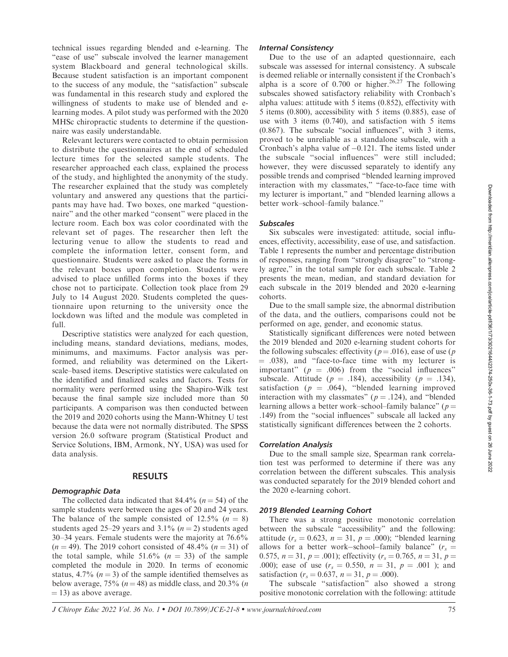technical issues regarding blended and e-learning. The "ease of use" subscale involved the learner management system Blackboard and general technological skills. Because student satisfaction is an important component to the success of any module, the ''satisfaction'' subscale was fundamental in this research study and explored the willingness of students to make use of blended and elearning modes. A pilot study was performed with the 2020 MHSc chiropractic students to determine if the questionnaire was easily understandable.

Relevant lecturers were contacted to obtain permission to distribute the questionnaires at the end of scheduled lecture times for the selected sample students. The researcher approached each class, explained the process of the study, and highlighted the anonymity of the study. The researcher explained that the study was completely voluntary and answered any questions that the participants may have had. Two boxes, one marked ''questionnaire'' and the other marked ''consent'' were placed in the lecture room. Each box was color coordinated with the relevant set of pages. The researcher then left the lecturing venue to allow the students to read and complete the information letter, consent form, and questionnaire. Students were asked to place the forms in the relevant boxes upon completion. Students were advised to place unfilled forms into the boxes if they chose not to participate. Collection took place from 29 July to 14 August 2020. Students completed the questionnaire upon returning to the university once the lockdown was lifted and the module was completed in full.

Descriptive statistics were analyzed for each question, including means, standard deviations, medians, modes, minimums, and maximums. Factor analysis was performed, and reliability was determined on the Likertscale–based items. Descriptive statistics were calculated on the identified and finalized scales and factors. Tests for normality were performed using the Shapiro-Wilk test because the final sample size included more than 50 participants. A comparison was then conducted between the 2019 and 2020 cohorts using the Mann-Whitney U test because the data were not normally distributed. The SPSS version 26.0 software program (Statistical Product and Service Solutions, IBM, Armonk, NY, USA) was used for data analysis.

## RESULTS

### Demographic Data

The collected data indicated that 84.4% ( $n = 54$ ) of the sample students were between the ages of 20 and 24 years. The balance of the sample consisted of 12.5%  $(n = 8)$ students aged 25–29 years and 3.1%  $(n = 2)$  students aged 30–34 years. Female students were the majority at 76.6%  $(n = 49)$ . The 2019 cohort consisted of 48.4%  $(n = 31)$  of the total sample, while  $51.6\%$  ( $n = 33$ ) of the sample completed the module in 2020. In terms of economic status, 4.7% ( $n = 3$ ) of the sample identified themselves as below average, 75% ( $n = 48$ ) as middle class, and 20.3% (*n*  $=$  13) as above average.

## Internal Consistency

Due to the use of an adapted questionnaire, each subscale was assessed for internal consistency. A subscale is deemed reliable or internally consistent if the Cronbach's alpha is a score of  $0.700$  or higher.<sup>26,27</sup> The following subscales showed satisfactory reliability with Cronbach's alpha values: attitude with 5 items (0.852), effectivity with 5 items (0.800), accessibility with 5 items (0.885), ease of use with 3 items (0.740), and satisfaction with 5 items (0.867). The subscale ''social influences'', with 3 items, proved to be unreliable as a standalone subscale, with a Cronbach's alpha value of  $-0.121$ . The items listed under the subscale ''social influences'' were still included; however, they were discussed separately to identify any possible trends and comprised ''blended learning improved interaction with my classmates," "face-to-face time with my lecturer is important,'' and ''blended learning allows a better work–school–family balance.''

#### **Subscales**

Six subscales were investigated: attitude, social influences, effectivity, accessibility, ease of use, and satisfaction. Table 1 represents the number and percentage distribution of responses, ranging from ''strongly disagree'' to ''strongly agree,'' in the total sample for each subscale. Table 2 presents the mean, median, and standard deviation for each subscale in the 2019 blended and 2020 e-learning cohorts.

Due to the small sample size, the abnormal distribution of the data, and the outliers, comparisons could not be performed on age, gender, and economic status.

Statistically significant differences were noted between the 2019 blended and 2020 e-learning student cohorts for the following subscales: effectivity ( $p = .016$ ), ease of use (p  $=$  .038), and "face-to-face time with my lecturer is important" ( $p = .006$ ) from the "social influences" subscale. Attitude ( $p = .184$ ), accessibility ( $p = .134$ ), satisfaction ( $p = .064$ ), "blended learning improved interaction with my classmates" ( $p = .124$ ), and "blended learning allows a better work–school–family balance" ( $p =$ .149) from the ''social influences'' subscale all lacked any statistically significant differences between the 2 cohorts.

#### Correlation Analysis

Due to the small sample size, Spearman rank correlation test was performed to determine if there was any correlation between the different subscales. This analysis was conducted separately for the 2019 blended cohort and the 2020 e-learning cohort.

#### 2019 Blended Learning Cohort

There was a strong positive monotonic correlation between the subscale ''accessibility'' and the following: attitude ( $r_s = 0.623$ ,  $n = 31$ ,  $p = .000$ ); "blended learning allows for a better work-school-family balance" ( $r_s$  = 0.575,  $n = 31$ ,  $p = .001$ ); effectivity ( $r_s = 0.765$ ,  $n = 31$ ,  $p =$ .000); ease of use  $(r_s = 0.550, n = 31, p = .001)$ ; and satisfaction ( $r_s = 0.637$ ,  $n = 31$ ,  $p = .000$ ).

The subscale "satisfaction" also showed a strong positive monotonic correlation with the following: attitude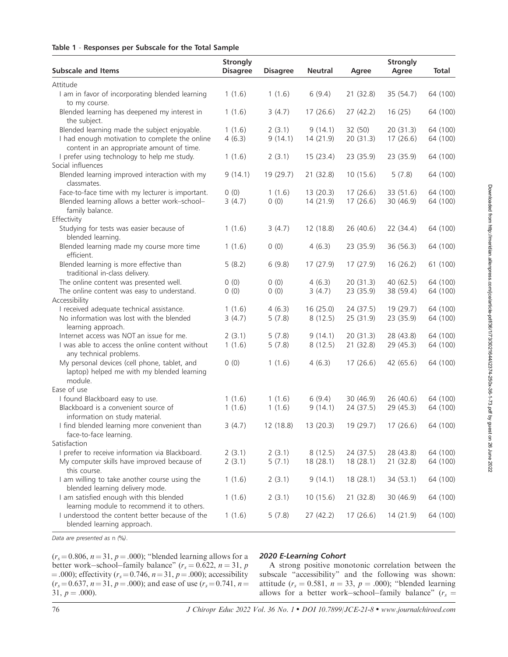## Table 1 - Responses per Subscale for the Total Sample

| <b>Subscale and Items</b>                                                                             | <b>Strongly</b><br><b>Disagree</b> | <b>Disagree</b> | <b>Neutral</b> | Agree     | <b>Strongly</b><br>Agree | <b>Total</b> |
|-------------------------------------------------------------------------------------------------------|------------------------------------|-----------------|----------------|-----------|--------------------------|--------------|
| Attitude                                                                                              |                                    |                 |                |           |                          |              |
| I am in favor of incorporating blended learning<br>to my course.                                      | 1(1.6)                             | 1(1.6)          | 6(9.4)         | 21 (32.8) | 35 (54.7)                | 64 (100)     |
| Blended learning has deepened my interest in<br>the subject.                                          | 1(1.6)                             | 3(4.7)          | 17(26.6)       | 27(42.2)  | 16(25)                   | 64 (100)     |
| Blended learning made the subject enjoyable.                                                          | 1(1.6)                             | 2(3.1)          | 9(14.1)        | 32 (50)   | 20(31.3)                 | 64 (100)     |
| I had enough motivation to complete the online<br>content in an appropriate amount of time.           | 4(6.3)                             | 9(14.1)         | 14(21.9)       | 20(31.3)  | 17(26.6)                 | 64 (100)     |
| I prefer using technology to help me study.                                                           | 1(1.6)                             | 2(3.1)          | 15(23.4)       | 23 (35.9) | 23 (35.9)                | 64 (100)     |
| Social influences                                                                                     |                                    |                 |                |           |                          |              |
| Blended learning improved interaction with my<br>classmates.                                          | 9(14.1)                            | 19 (29.7)       | 21 (32.8)      | 10(15.6)  | 5(7.8)                   | 64 (100)     |
| Face-to-face time with my lecturer is important.                                                      | 0(0)                               | 1(1.6)          | 13(20.3)       | 17(26.6)  | 33 (51.6)                | 64 (100)     |
| Blended learning allows a better work-school-<br>family balance.                                      | 3(4.7)                             | 0(0)            | 14 (21.9)      | 17(26.6)  | 30(46.9)                 | 64 (100)     |
| Effectivity                                                                                           |                                    |                 |                |           |                          |              |
| Studying for tests was easier because of<br>blended learning.                                         | 1(1.6)                             | 3(4.7)          | 12 (18.8)      | 26(40.6)  | 22(34.4)                 | 64 (100)     |
| Blended learning made my course more time<br>efficient.                                               | 1(1.6)                             | 0(0)            | 4(6.3)         | 23 (35.9) | 36 (56.3)                | 64 (100)     |
| Blended learning is more effective than<br>traditional in-class delivery.                             | 5(8.2)                             | 6(9.8)          | 17 (27.9)      | 17 (27.9) | 16(26.2)                 | 61 (100)     |
| The online content was presented well.                                                                | 0(0)                               | 0(0)            | 4(6.3)         | 20(31.3)  | 40(62.5)                 | 64 (100)     |
| The online content was easy to understand.                                                            | 0(0)                               | 0(0)            | 3(4.7)         | 23 (35.9) | 38 (59.4)                | 64 (100)     |
| Accessibility                                                                                         |                                    |                 |                |           |                          |              |
| I received adequate technical assistance.                                                             | 1(1.6)                             | 4(6.3)          | 16(25.0)       | 24(37.5)  | 19 (29.7)                | 64 (100)     |
| No information was lost with the blended<br>learning approach.                                        | 3(4.7)                             | 5(7.8)          | 8(12.5)        | 25 (31.9) | 23 (35.9)                | 64 (100)     |
| Internet access was NOT an issue for me.                                                              | 2(3.1)                             | 5(7.8)          | 9(14.1)        | 20(31.3)  | 28 (43.8)                | 64 (100)     |
| I was able to access the online content without<br>any technical problems.                            | 1(1.6)                             | 5(7.8)          | 8(12.5)        | 21 (32.8) | 29 (45.3)                | 64 (100)     |
| My personal devices (cell phone, tablet, and<br>laptop) helped me with my blended learning<br>module. | 0(0)                               | 1(1.6)          | 4(6.3)         | 17(26.6)  | 42 (65.6)                | 64 (100)     |
| Ease of use                                                                                           |                                    |                 |                |           |                          |              |
| I found Blackboard easy to use.                                                                       | 1(1.6)                             | 1(1.6)          | 6(9.4)         | 30(46.9)  | 26(40.6)                 | 64 (100)     |
| Blackboard is a convenient source of<br>information on study material.                                | 1(1.6)                             | 1(1.6)          | 9(14.1)        | 24(37.5)  | 29 (45.3)                | 64 (100)     |
| I find blended learning more convenient than<br>face-to-face learning.                                | 3(4.7)                             | 12 (18.8)       | 13 (20.3)      | 19 (29.7) | 17 (26.6)                | 64 (100)     |
| Satisfaction                                                                                          |                                    |                 |                |           |                          |              |
| I prefer to receive information via Blackboard.                                                       | 2(3.1)                             | 2(3.1)          | 8(12.5)        | 24 (37.5) | 28 (43.8)                | 64 (100)     |
| My computer skills have improved because of<br>this course.                                           | 2(3.1)                             | 5(7.1)          | 18 (28.1)      | 18 (28.1) | 21 (32.8)                | 64 (100)     |
| I am willing to take another course using the<br>blended learning delivery mode.                      | 1(1.6)                             | 2(3.1)          | 9(14.1)        | 18 (28.1) | 34 (53.1)                | 64 (100)     |
| I am satisfied enough with this blended<br>learning module to recommend it to others.                 | 1(1.6)                             | 2(3.1)          | 10(15.6)       | 21 (32.8) | 30 (46.9)                | 64 (100)     |
| I understood the content better because of the<br>blended learning approach.                          | 1(1.6)                             | 5(7.8)          | 27 (42.2)      | 17(26.6)  | 14 (21.9)                | 64 (100)     |

Data are presented as n (%).

 $(r_s=0.806, n=31, p=.000)$ ; "blended learning allows for a better work-school-family balance" ( $r_s = 0.622$ ,  $n = 31$ , p  $(1.000)$ ; effectivity ( $r_s = 0.746$ ,  $n = 31$ ,  $p = .000$ ); accessibility  $(r_s = 0.637, n = 31, p = .000)$ ; and ease of use  $(r_s = 0.741, n =$  $31, p = .000$ ).

## 2020 E-Learning Cohort

A strong positive monotonic correlation between the subscale ''accessibility'' and the following was shown: attitude ( $r_s = 0.581$ ,  $n = 33$ ,  $p = .000$ ); "blended learning allows for a better work-school-family balance" ( $r_s$  =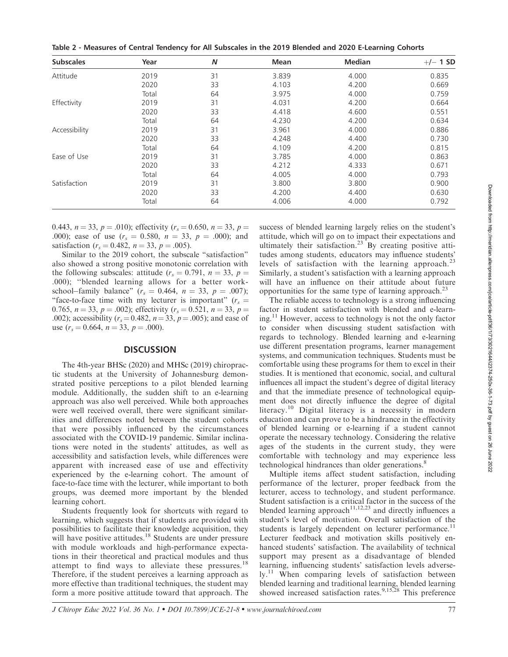Table 2 - Measures of Central Tendency for All Subscales in the 2019 Blended and 2020 E-Learning Cohorts

| <b>Subscales</b> | Year  | N  | Mean  | <b>Median</b> | $+/-$ 1 SD |
|------------------|-------|----|-------|---------------|------------|
| Attitude         | 2019  | 31 | 3.839 | 4.000         | 0.835      |
|                  | 2020  | 33 | 4.103 | 4.200         | 0.669      |
|                  | Total | 64 | 3.975 | 4.000         | 0.759      |
| Effectivity      | 2019  | 31 | 4.031 | 4.200         | 0.664      |
|                  | 2020  | 33 | 4.418 | 4.600         | 0.551      |
|                  | Total | 64 | 4.230 | 4.200         | 0.634      |
| Accessibility    | 2019  | 31 | 3.961 | 4.000         | 0.886      |
|                  | 2020  | 33 | 4.248 | 4.400         | 0.730      |
|                  | Total | 64 | 4.109 | 4.200         | 0.815      |
| Ease of Use      | 2019  | 31 | 3.785 | 4.000         | 0.863      |
|                  | 2020  | 33 | 4.212 | 4.333         | 0.671      |
|                  | Total | 64 | 4.005 | 4.000         | 0.793      |
| Satisfaction     | 2019  | 31 | 3.800 | 3.800         | 0.900      |
|                  | 2020  | 33 | 4.200 | 4.400         | 0.630      |
|                  | Total | 64 | 4.006 | 4.000         | 0.792      |

0.443,  $n = 33$ ,  $p = .010$ ); effectivity ( $r_s = 0.650$ ,  $n = 33$ ,  $p =$ .000); ease of use  $(r_s = 0.580, n = 33, p = .000)$ ; and satisfaction ( $r_s = 0.482$ ,  $n = 33$ ,  $p = .005$ ).

Similar to the 2019 cohort, the subscale ''satisfaction'' also showed a strong positive monotonic correlation with the following subscales: attitude ( $r_s = 0.791$ ,  $n = 33$ ,  $p =$ .000); ''blended learning allows for a better workschool–family balance" ( $r_s = 0.464$ ,  $n = 33$ ,  $p = .007$ ); "face-to-face time with my lecturer is important" ( $r_s$  = 0.765,  $n = 33$ ,  $p = .002$ ); effectivity ( $r_s = 0.521$ ,  $n = 33$ ,  $p =$ .002); accessibility ( $r_s = 0.482$ ,  $n = 33$ ,  $p = .005$ ); and ease of use  $(r_s = 0.664, n = 33, p = .000)$ .

## **DISCUSSION**

The 4th-year BHSc (2020) and MHSc (2019) chiropractic students at the University of Johannesburg demonstrated positive perceptions to a pilot blended learning module. Additionally, the sudden shift to an e-learning approach was also well perceived. While both approaches were well received overall, there were significant similarities and differences noted between the student cohorts that were possibly influenced by the circumstances associated with the COVID-19 pandemic. Similar inclinations were noted in the students' attitudes, as well as accessibility and satisfaction levels, while differences were apparent with increased ease of use and effectivity experienced by the e-learning cohort. The amount of face-to-face time with the lecturer, while important to both groups, was deemed more important by the blended learning cohort.

Students frequently look for shortcuts with regard to learning, which suggests that if students are provided with possibilities to facilitate their knowledge acquisition, they will have positive attitudes.<sup>18</sup> Students are under pressure with module workloads and high-performance expectations in their theoretical and practical modules and thus attempt to find ways to alleviate these pressures.<sup>18</sup> Therefore, if the student perceives a learning approach as more effective than traditional techniques, the student may form a more positive attitude toward that approach. The

success of blended learning largely relies on the student's attitude, which will go on to impact their expectations and ultimately their satisfaction.<sup>23</sup> By creating positive attitudes among students, educators may influence students' levels of satisfaction with the learning approach.<sup>23</sup> Similarly, a student's satisfaction with a learning approach will have an influence on their attitude about future opportunities for the same type of learning approach.<sup>23</sup>

The reliable access to technology is a strong influencing factor in student satisfaction with blended and e-learning.<sup>11</sup> However, access to technology is not the only factor to consider when discussing student satisfaction with regards to technology. Blended learning and e-learning use different presentation programs, learner management systems, and communication techniques. Students must be comfortable using these programs for them to excel in their studies. It is mentioned that economic, social, and cultural influences all impact the student's degree of digital literacy and that the immediate presence of technological equipment does not directly influence the degree of digital literacy.<sup>10</sup> Digital literacy is a necessity in modern education and can prove to be a hindrance in the effectivity of blended learning or e-learning if a student cannot operate the necessary technology. Considering the relative ages of the students in the current study, they were comfortable with technology and may experience less technological hindrances than older generations.<sup>8</sup>

Multiple items affect student satisfaction, including performance of the lecturer, proper feedback from the lecturer, access to technology, and student performance. Student satisfaction is a critical factor in the success of the blended learning approach<sup>11,12,23</sup> and directly influences a student's level of motivation. Overall satisfaction of the students is largely dependent on lecturer performance.<sup>11</sup> Lecturer feedback and motivation skills positively enhanced students' satisfaction. The availability of technical support may present as a disadvantage of blended learning, influencing students' satisfaction levels adversely.<sup>11</sup> When comparing levels of satisfaction between blended learning and traditional learning, blended learning showed increased satisfaction rates.<sup>9,15,28</sup> This preference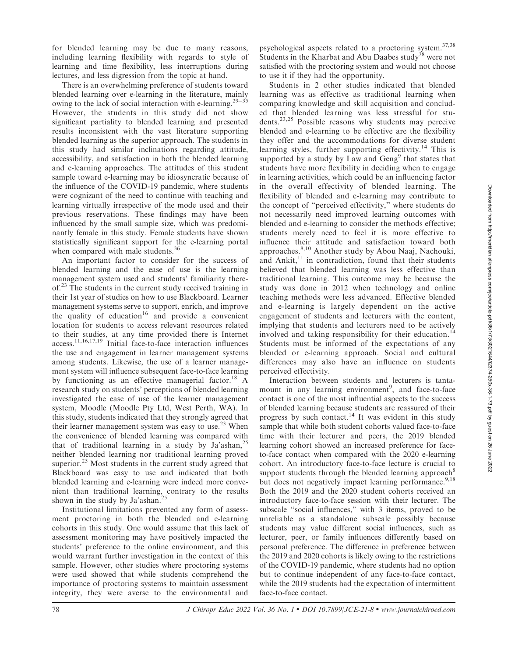for blended learning may be due to many reasons, including learning flexibility with regards to style of learning and time flexibility, less interruptions during lectures, and less digression from the topic at hand.

There is an overwhelming preference of students toward blended learning over e-learning in the literature, mainly owing to the lack of social interaction with e-learning.<sup>29–35</sup> However, the students in this study did not show significant partiality to blended learning and presented results inconsistent with the vast literature supporting blended learning as the superior approach. The students in this study had similar inclinations regarding attitude, accessibility, and satisfaction in both the blended learning and e-learning approaches. The attitudes of this student sample toward e-learning may be idiosyncratic because of the influence of the COVID-19 pandemic, where students were cognizant of the need to continue with teaching and learning virtually irrespective of the mode used and their previous reservations. These findings may have been influenced by the small sample size, which was predominantly female in this study. Female students have shown statistically significant support for the e-learning portal when compared with male students.<sup>36</sup>

An important factor to consider for the success of blended learning and the ease of use is the learning management system used and students' familiarity thereof.<sup>23</sup> The students in the current study received training in their 1st year of studies on how to use Blackboard. Learner management systems serve to support, enrich, and improve the quality of education<sup>16</sup> and provide a convenient location for students to access relevant resources related to their studies, at any time provided there is Internet access.11,16,17,19 Initial face-to-face interaction influences the use and engagement in learner management systems among students. Likewise, the use of a learner management system will influence subsequent face-to-face learning by functioning as an effective managerial factor.<sup>18</sup> A research study on students' perceptions of blended learning investigated the ease of use of the learner management system, Moodle (Moodle Pty Ltd, West Perth, WA). In this study, students indicated that they strongly agreed that their learner management system was easy to use.<sup>23</sup> When the convenience of blended learning was compared with that of traditional learning in a study by Ja'ashan,<sup>25</sup> neither blended learning nor traditional learning proved superior. $25$  Most students in the current study agreed that Blackboard was easy to use and indicated that both blended learning and e-learning were indeed more convenient than traditional learning, contrary to the results shown in the study by Ja'ashan.<sup>2</sup>

Institutional limitations prevented any form of assessment proctoring in both the blended and e-learning cohorts in this study. One would assume that this lack of assessment monitoring may have positively impacted the students' preference to the online environment, and this would warrant further investigation in the context of this sample. However, other studies where proctoring systems were used showed that while students comprehend the importance of proctoring systems to maintain assessment integrity, they were averse to the environmental and psychological aspects related to a proctoring system.37,38 Students in the Kharbat and Abu Daabes study<sup>38</sup> were not satisfied with the proctoring system and would not choose to use it if they had the opportunity.

Students in 2 other studies indicated that blended learning was as effective as traditional learning when comparing knowledge and skill acquisition and concluded that blended learning was less stressful for students.23,25 Possible reasons why students may perceive blended and e-learning to be effective are the flexibility they offer and the accommodations for diverse student learning styles, further supporting effectivity.<sup>14</sup> This is supported by a study by Law and  $Geng<sup>9</sup>$  that states that students have more flexibility in deciding when to engage in learning activities, which could be an influencing factor in the overall effectivity of blended learning. The flexibility of blended and e-learning may contribute to the concept of ''perceived effectivity,'' where students do not necessarily need improved learning outcomes with blended and e-learning to consider the methods effective; students merely need to feel it is more effective to influence their attitude and satisfaction toward both approaches.8,10 Another study by Abou Naaj, Nachouki, and Ankit, $11$  in contradiction, found that their students believed that blended learning was less effective than traditional learning. This outcome may be because the study was done in 2012 when technology and online teaching methods were less advanced. Effective blended and e-learning is largely dependent on the active engagement of students and lecturers with the content, implying that students and lecturers need to be actively involved and taking responsibility for their education.<sup>14</sup> Students must be informed of the expectations of any blended or e-learning approach. Social and cultural differences may also have an influence on students perceived effectivity.

Interaction between students and lecturers is tantamount in any learning environment<sup>9</sup>, and face-to-face contact is one of the most influential aspects to the success of blended learning because students are reassured of their progress by such contact.<sup>14</sup> It was evident in this study sample that while both student cohorts valued face-to-face time with their lecturer and peers, the 2019 blended learning cohort showed an increased preference for faceto-face contact when compared with the 2020 e-learning cohort. An introductory face-to-face lecture is crucial to support students through the blended learning approach<sup>8</sup> but does not negatively impact learning performance.<sup>9,18</sup> Both the 2019 and the 2020 student cohorts received an introductory face-to-face session with their lecturer. The subscale "social influences," with 3 items, proved to be unreliable as a standalone subscale possibly because students may value different social influences, such as lecturer, peer, or family influences differently based on personal preference. The difference in preference between the 2019 and 2020 cohorts is likely owing to the restrictions of the COVID-19 pandemic, where students had no option but to continue independent of any face-to-face contact, while the 2019 students had the expectation of intermittent face-to-face contact.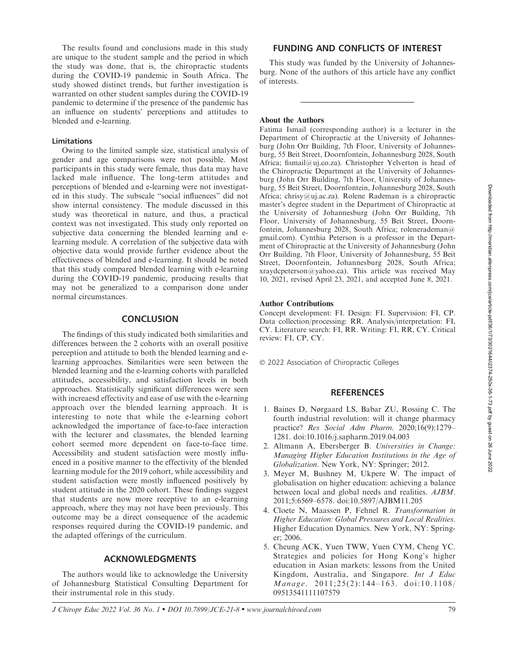The results found and conclusions made in this study are unique to the student sample and the period in which the study was done, that is, the chiropractic students during the COVID-19 pandemic in South Africa. The study showed distinct trends, but further investigation is warranted on other student samples during the COVID-19 pandemic to determine if the presence of the pandemic has an influence on students' perceptions and attitudes to blended and e-learning.

## Limitations

Owing to the limited sample size, statistical analysis of gender and age comparisons were not possible. Most participants in this study were female, thus data may have lacked male influence. The long-term attitudes and perceptions of blended and e-learning were not investigated in this study. The subscale ''social influences'' did not show internal consistency. The module discussed in this study was theoretical in nature, and thus, a practical context was not investigated. This study only reported on subjective data concerning the blended learning and elearning module. A correlation of the subjective data with objective data would provide further evidence about the effectiveness of blended and e-learning. It should be noted that this study compared blended learning with e-learning during the COVID-19 pandemic, producing results that may not be generalized to a comparison done under normal circumstances.

## **CONCLUSION**

The findings of this study indicated both similarities and differences between the 2 cohorts with an overall positive perception and attitude to both the blended learning and elearning approaches. Similarities were seen between the blended learning and the e-learning cohorts with paralleled attitudes, accessibility, and satisfaction levels in both approaches. Statistically significant differences were seen with increaesd effectivity and ease of use with the e-learning approach over the blended learning approach. It is interesting to note that while the e-learning cohort acknowledged the importance of face-to-face interaction with the lecturer and classmates, the blended learning cohort seemed more dependent on face-to-face time. Accessibility and student satisfaction were mostly influenced in a positive manner to the effectivity of the blended learning module for the 2019 cohort, while accessibility and student satisfaction were mostly influenced positively by student attitude in the 2020 cohort. These findings suggest that students are now more receptive to an e-learning approach, where they may not have been previously. This outcome may be a direct consequence of the academic responses required during the COVID-19 pandemic, and the adapted offerings of the curriculum.

## ACKNOWLEDGMENTS

The authors would like to acknowledge the University of Johannesburg Statistical Consulting Department for their instrumental role in this study.

## FUNDING AND CONFLICTS OF INTEREST

This study was funded by the University of Johannesburg. None of the authors of this article have any conflict of interests.

#### About the Authors

Fatima Ismail (corresponding author) is a lecturer in the Department of Chiropractic at the University of Johannesburg (John Orr Building, 7th Floor, University of Johannesburg, 55 Beit Street, Doornfontein, Johannesburg 2028, South Africa; fismail@uj.co.za). Christopher Yelverton is head of the Chiropractic Department at the University of Johannesburg (John Orr Building, 7th Floor, University of Johannesburg, 55 Beit Street, Doornfontein, Johannesburg 2028, South Africa; chrisy@uj.ac.za). Rolene Rademan is a chiropractic master's degree student in the Department of Chiropractic at the University of Johannesburg (John Orr Building, 7th Floor, University of Johannesburg, 55 Beit Street, Doornfontein, Johannesburg 2028, South Africa; rolenerademan@ gmail.com). Cynthia Peterson is a professor in the Department of Chiropractic at the University of Johannesburg (John Orr Building, 7th Floor, University of Johannesburg, 55 Beit Street, Doornfontein, Johannesburg 2028, South Africa; xraydcpeterson@yahoo.ca). This article was received May 10, 2021, revised April 23, 2021, and accepted June 8, 2021.

#### Author Contributions

Concept development: FI. Design: FI. Supervision: FI, CP. Data collection/processing: RR. Analysis/interpretation: FI, CY. Literature search: FI, RR. Writing: FI, RR, CY. Critical review: FI, CP, CY.

- 2022 Association of Chiropractic Colleges

## **REFERENCES**

- 1. Baines D, Nørgaard LS, Babar ZU, Rossing C. The fourth industrial revolution: will it change pharmacy practice? Res Social Adm Pharm. 2020;16(9):1279– 1281. doi:10.1016/j.sapharm.2019.04.003
- 2. Altmann A, Ebersberger B. Universities in Change: Managing Higher Education Institutions in the Age of Globalization. New York, NY: Springer; 2012.
- 3. Meyer M, Bushney M, Ukpere W. The impact of globalisation on higher education: achieving a balance between local and global needs and realities. AJBM. 2011;5:6569–6578. doi:10.5897/AJBM11.205
- 4. Cloete N, Maassen P, Fehnel R. Transformation in Higher Education: Global Pressures and Local Realities. Higher Education Dynamics. New York, NY: Springer; 2006.
- 5. Cheung ACK, Yuen TWW, Yuen CYM, Cheng YC. Strategies and policies for Hong Kong's higher education in Asian markets: lessons from the United Kingdom, Australia, and Singapore. Int J Educ Manage. 2011;25(2):144-163. doi:10.1108/ 09513541111107579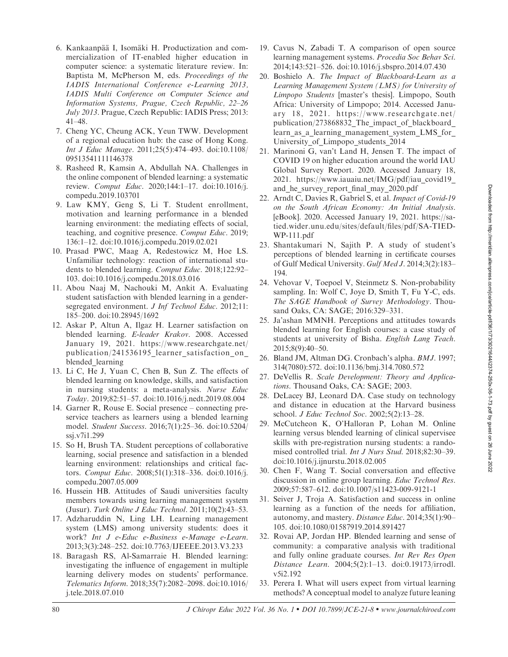- 6. Kankaanpää I, Isomäki H. Productization and commercialization of IT-enabled higher education in computer science: a systematic literature review. In: Baptista M, McPherson M, eds. Proceedings of the IADIS International Conference e-Learning 2013, IADIS Multi Conference on Computer Science and Information Systems, Prague, Czech Republic, 22–26 July 2013. Prague, Czech Republic: IADIS Press; 2013: 41–48.
- 7. Cheng YC, Cheung ACK, Yeun TWW. Development of a regional education hub: the case of Hong Kong. Int J Educ Manage. 2011;25(5):474–493. doi:10.1108/ 09513541111146378
- 8. Rasheed R, Kamsin A, Abdullah NA. Challenges in the online component of blended learning: a systematic review. Comput Educ. 2020;144:1–17. doi:10.1016/j. compedu.2019.103701
- 9. Law KMY, Geng S, Li T. Student enrollment, motivation and learning performance in a blended learning environment: the mediating effects of social, teaching, and cognitive presence. Comput Educ. 2019; 136:1–12. doi:10.1016/j.compedu.2019.02.021
- 10. Prasad PWC, Maag A, Redestowicz M, Hoe LS. Unfamiliar technology: reaction of international students to blended learning. Comput Educ. 2018;122:92-103. doi:10.1016/j.compedu.2018.03.016
- 11. Abou Naaj M, Nachouki M, Ankit A. Evaluating student satisfaction with blended learning in a gendersegregated environment. *J Inf Technol Educ*. 2012;11: 185–200. doi:10.28945/1692
- 12. Askar P, Altun A, Ilgaz H. Learner satisfaction on blended learning. E-leader Krakov. 2008. Accessed January 19, 2021. https://www.researchgate.net/ publication/241536195\_learner\_satisfaction\_on\_ blended learning
- 13. Li C, He J, Yuan C, Chen B, Sun Z. The effects of blended learning on knowledge, skills, and satisfaction in nursing students: a meta-analysis. Nurse Educ Today. 2019;82:51–57. doi:10.1016/j.nedt.2019.08.004
- 14. Garner R, Rouse E. Social presence connecting preservice teachers as learners using a blended learning model. Student Success. 2016;7(1):25–36. doi:10.5204/ ssj.v7i1.299
- 15. So H, Brush TA. Student perceptions of collaborative learning, social presence and satisfaction in a blended learning environment: relationships and critical factors. Comput Educ. 2008;51(1):318–336. doi:0.1016/j. compedu.2007.05.009
- 16. Hussein HB. Attitudes of Saudi universities faculty members towards using learning management system (Jusur). Turk Online J Educ Technol. 2011;10(2):43–53.
- 17. Adzharuddin N, Ling LH. Learning management system (LMS) among university students: does it work? Int J e-Educ e-Business e-Manage e-Learn. 2013;3(3):248–252. doi:10.7763/IJEEEE.2013.V3.233
- 18. Baragash RS, Al-Samarraie H. Blended learning: investigating the influence of engagement in multiple learning delivery modes on students' performance. Telematics Inform. 2018;35(7):2082–2098. doi:10.1016/ j.tele.2018.07.010
- 19. Cavus N, Zabadi T. A comparison of open source learning management systems. Procedia Soc Behav Sci. 2014;143:521–526. doi:10.1016/j.sbspro.2014.07.430
- 20. Boshielo A. The Impact of Blackboard-Learn as a Learning Management System (LMS) for University of Limpopo Students [master's thesis]. Limpopo, South Africa: University of Limpopo; 2014. Accessed January 18, 2021. https://www.researchgate.net/ publication/273868832\_The\_impact\_of\_blackboard\_ learn\_as\_a\_learning\_management\_system\_LMS\_for\_ University\_of\_Limpopo\_students\_2014
- 21. Marinoni G, van't Land H, Jensen T. The impact of COVID 19 on higher education around the world IAU Global Survey Report. 2020. Accessed January 18, 2021. https://www.iauaiu.net/IMG/pdf/iau\_covid19\_ and he survey report final may 2020.pdf
- 22. Arndt C, Davies R, Gabriel S, et al. Impact of Covid-19 on the South African Economy: An Initial Analysis. [eBook]. 2020. Accessed January 19, 2021. https://satied.wider.unu.edu/sites/default/files/pdf/SA-TIED-WP-111.pdf
- 23. Shantakumari N, Sajith P. A study of student's perceptions of blended learning in certificate courses of Gulf Medical University. Gulf Med J. 2014;3(2):183– 194.
- 24. Vehovar V, Toepoel V, Steinmetz S. Non-probability sampling. In: Wolf C, Joye D, Smith T, Fu Y-C, eds. The SAGE Handbook of Survey Methodology. Thousand Oaks, CA: SAGE; 2016:329–331.
- 25. Ja'ashan MMNH. Perceptions and attitudes towards blended learning for English courses: a case study of students at university of Bisha. English Lang Teach. 2015;8(9):40–50.
- 26. Bland JM, Altman DG. Cronbach's alpha. BMJ. 1997; 314(7080):572. doi:10.1136/bmj.314.7080.572
- 27. DeVellis R. Scale Development: Theory and Applications. Thousand Oaks, CA: SAGE; 2003.
- 28. DeLacey BJ, Leonard DA. Case study on technology and distance in education at the Harvard business school. J Educ Technol Soc. 2002;5(2):13–28.
- 29. McCutcheon K, O'Halloran P, Lohan M. Online learning versus blended learning of clinical supervisee skills with pre-registration nursing students: a randomised controlled trial. Int J Nurs Stud. 2018;82:30–39. doi:10.1016/j.ijnurstu.2018.02.005
- 30. Chen F, Wang T. Social conversation and effective discussion in online group learning. Educ Technol Res. 2009;57:587–612. doi:10.1007/s11423-009-9121-1
- 31. Seiver J, Troja A. Satisfaction and success in online learning as a function of the needs for affiliation, autonomy, and mastery. Distance Educ. 2014;35(1):90– 105. doi:10.1080/01587919.2014.891427
- 32. Rovai AP, Jordan HP. Blended learning and sense of community: a comparative analysis with traditional and fully online graduate courses. Int Rev Res Open Distance Learn. 2004;5(2):1–13. doi:0.19173/irrodl. v5i2.192
- 33. Perera I. What will users expect from virtual learning methods? A conceptual model to analyze future leaning